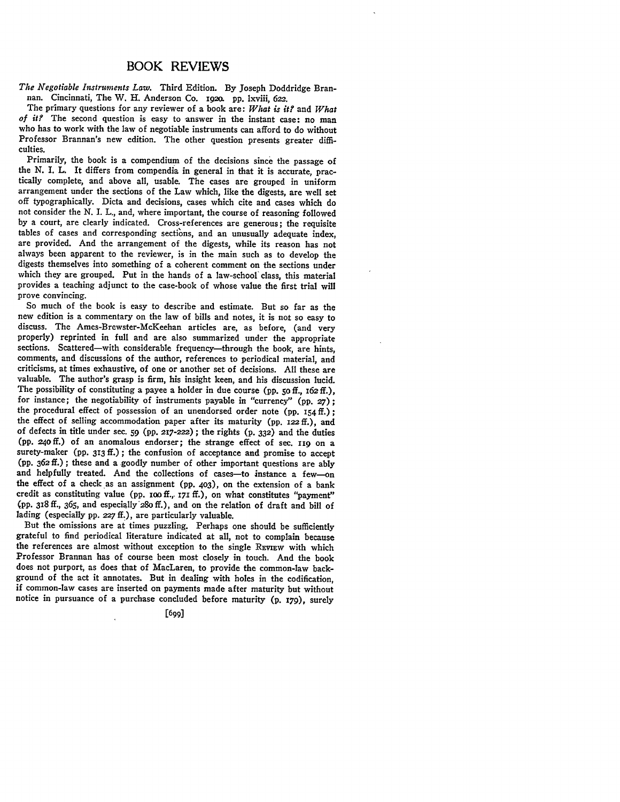## BOOK REVIEWS

*The Negotiable Instruments Law.* Third Edition. **By** Joseph Doddridge Bran- nan. Cincinnati, The W. H. Anderson Co. igo. **pp.** lxviii, **622.**

The primary questions for any reviewer of a book are: *What is it?* and *What of it?* The second question is easy to answer in the instant case: no man who has to work with the law of negotiable instruments can afford to do without Professor Brannan's new edition. The other question presents greater difficulties.

Primarily, the book is a compendium of the decisions since the passage of the N. I. L. It differs from compendia in general in that it is accurate, practically complete, and above all, usable. The cases are grouped in uniform arrangement under the sections of the Law which, like the digests, are well set off typographically. Dicta and decisions, cases which cite and cases which do not consider the N. I. L., and, where important, the course of reasoning followed by a court, are clearly indicated. Cross-references are generous; the requisite tables of cases and corresponding sections, and an unusually adequate index, are provided. And the arrangement of the digests, while its reason has not always been apparent to the reviewer, is in the main such as to develop the digests themselves into something of a coherent comment on the sections under which they are grouped. Put in the hands of a law-school class, this material provides a teaching adjunct to the case-book of whose value the first trial will prove convincing.

So much of the book is easy to describe and estimate. But so far as the new edition is a commentary on the law of bills and notes, it is not so easy to discuss. The Ames-Brewster-McKeehan articles are, as before, (and very properly) reprinted in full and are also summarized under the appropriate sections. Scattered-with considerable frequency-through the book, are hints, comments, and discussions of the author, references to periodical material, and criticisms, at times exhaustive, of one or another set of decisions. **All** these are valuable. The author's grasp is firm, his insight keen, and his discussion lucid. The possibility of constituting a payee a holder in due course (pp. **5o ff., 162 ff.),** for instance; the negotiability of instruments payable in "currency" **(pp. 27);** the procedural effect of possession of an unendorsed order note (pp. **154 ff.);** the effect of selling accommodation paper after its maturity (pp. **122ff.),** and of defects in title under sec. *59* **(pp. 217-222)** ; the rights (p. **332)** and the duties **(pp.** *24o* ff.) of an anomalous endorser; the strange effect of sec. rig on a surety-maker **(pp.** 313 **ff.);** the confusion of acceptance and promise to accept **(pp. 362 ff.)** ; these and a goodly number of other important questions are ably and helpfully treated. And the collections of cases-to instance a few-on the effect of a check as an assignment **(pp.** 4o3), on the extension of a bank credit as constituting value **(pp.** ioo **ff.,. 17.1** ff.), on what constitutes "payment" **(pp.** 318 **ff., 365,** and especially'28o **ff.),** and on the relation of draft and bill of lading (especially **pp.** *227* **f.),** are particularly valuable.

But the omissions are at times puzzling. Perhaps one should be sufficiently grateful to find periodical literature indicated at all, not to complain because the references are almost without exception to the single **REVIEw** with which Professor Brannan has of course been most closely in touch. And the book does not purport, as does that of MacLaren, to provide the common-law background of the act it annotates. But in dealing with holes in the codification, if common-law cases are inserted on payments made after maturity but without notice in pursuance of a purchase concluded before maturity (p. **179),** surely

[699]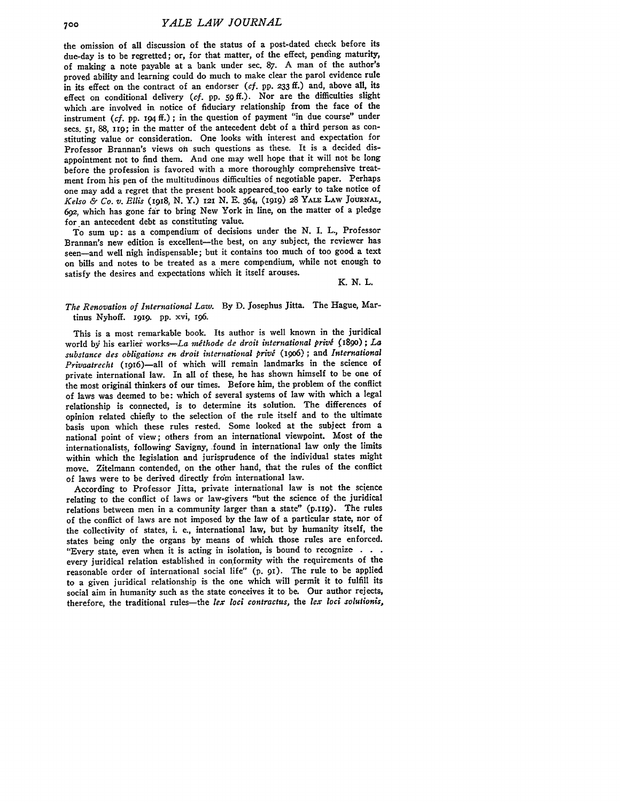the omission of all discussion of the status of a post-dated check before its due-day is to be regretted; or, for that matter, of the effect, pending maturity, of making a note payable at a bank under sec. **87. A** man of the author's proved ability and learning could do much to make clear the parol evidence rule in its effect on the contract of an endorser *(cf.* pp. **233** ff.) and, above all, its effect on conditional delivery (cf. pp. 59 ff.). Nor are the difficulties slight which .are involved in notice of fiduciary relationship from the face of the instrument *(cf.* **pp. 194** ff.); in the question of payment "in due course" under secs. **51,** 88, *1ig;* in the matter of the antecedent debt of a third person as constituting value or consideration. One looks with interest and expectation for Professor Brannan's views on such questions as these. It is a decided disappointment not to find them. And one may well hope that it will not be long before the profession is favored with a more thoroughly comprehensive treatment from his pen of the multitudinous difficulties of negotiable paper. Perhaps one may add a regret that the present book appeared too early to take notice of *Kelso & Co. v. Ellis* (1918, **N.** Y.) 121 **N. E.** 364, (igig) **28** YALE **LAW** JOURNAL, *692,* which has gone *fir* to bring New York in line, on the matter of a pledge for an antecedent debt as constituting value.

To sum up: as a compendium of decisions under the **N.** I. L., Professor Brannan's new edition is excellent-the best, on any subject, the reviewer has seen-and well nigh indispensable; but it contains too much of too good a text on bills and notes to be treated as a mere compendium, while not enough to satisfy the desires and expectations which it itself arouses.

K. **N.** L.

## *The Renovation of International Law.* By **D.** Josephus Jitta. The Hague, Martinus Nyhoff. igig. **pp.** xvi, 196.

This is a most remarkable book. Its author is well known in the juridical world **by** his earlier works-La *nuthode de droit international privi (189o)* ; *La substance des obligations en droit international privi* (19o6) ; and *International* Privaatrecht (1916)-all of which will remain landmarks in the science of private international law. In all of these, he has shown himself to be one of the most original thinkers of our times. Before him, the problem of the conflict of laws was deemed to be: which of several systems of law with which a legal relationship is connected, is to determine its solution. The differences of opinion related chiefly to the selection of the rule itself and to the ultimate basis upon which these rules rested. Some looked at the subject from a national point of view; others from an international viewpoint. Most of the internationalists, following Savigny, found in international law only the limits within which the legislation and jurisprudence of the individual states might move. Zitelmann contended, on the other hand, that the rules of the conflict of laws were to be derived directly from international law.

According to Professor Jitta, private international law is not the science relating to the conflict of laws or law-givers "but the science of the juridical relations between men in a community larger than a state" (p.119). The rules of the conflict of laws are not imposed **by** the law of a particular state, nor of the collectivity of states, i. e., international law, but **by** humanity itself, the states being only the organs **by** means of which those rules are enforced. "Every state, even when it is acting in isolation, is bound to recognize **. . .** every juridical relation established in conformity with the requirements of the reasonable order of international social life" **(p.** 91). The rule to be applied to a given juridical relationship is the one which will permit it to fulfill its social aim in humanity such as the state conceives it to be. Our author rejects, therefore, the traditional rules-the *lex loci contractus,* the *lex loci solutionis,*

700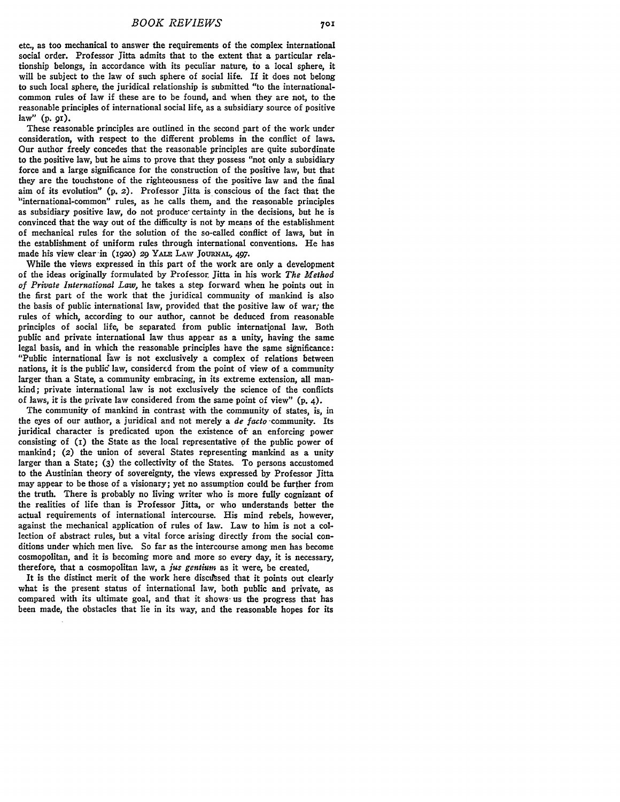etc., as too mechanical to answer the requirements of the complex international social order. Professor Jitta admits that to the extent that a particular relationship belongs, in accordance with its peculiar nature, to a local sphere, it will be subject to the law of such sphere of social life. If it does not belong to such local sphere, the juridical relationship is submitted "to the internationalcommon rules of law if these are to be found, and when they are not, to the reasonable principles of international social life, as a subsidiary source of positive law" **(p. 91).**

These reasonable principles are outlined in the second part of the work under consideration, with respect to the different problems in the conflict of laws. Our author freely concedes that the reasonable principles are quite subordinate to the positive law, but he aims to prove that they possess "not only a subsidiary force and a large significance for the construction of the positive law, but that they are the touchstone of the righteousness of the positive law and the final aim of its evolution" **(p. 2).** Professor Jitta is conscious of the fact that the "international-common" rules, as he calls them, and the reasonable principles as subsidiary positive law, do not produce certainty in the decisions, but he is convinced that the way out of the difficulty is not **by** means of the establishment of mechanical rules for the solution of the so-called conflict of laws, but in the establishment of uniform rules through international conventions. He has made his view clear in (1920) 29 YALE LAW JOURNAL, 497.

While the views expressed in this part of the work are only a development of the ideas originally formulated **by** Professor, Jitta in his work *The Method of Private International Law,* he takes a step forward when he points out in the first part of the work that the juridical community of mankind is also the basis of public international law, provided that the positive law of war; the rules of which, according to our author, cannot be deduced from reasonable principles of social life, be separated from public international law. Both public and private international law thus appear as a unity, having the same legal basis, and in which the reasonable principles have the same significance: "Public international law is not exclusively a complex of relations between nations, it is the public law, considered from the point of view of a community larger than a State, a community embracing, in its extreme extension, all mankind; private international law is not exclusively the science of the conflicts of laws, it is the private law considered from the same point of view" (p. 4).

The community of mankind in contrast with the community of states, is, in the eyes of our author, a juridical and not merely a *de* facto-community. Its juridical character is predicated upon the existence of- an enforcing power consisting of (i) the State as the local representative **of** the public power of mankind; (2) the union of several States representing mankind as a unity larger than a State; **(3)** the collectivity of the States. To persons accustomed to the Austinian theory of sovereignty, the views expressed **by** Professor Jitta may appear to be those of a visionary; yet no assumption could be further from the truth. There is probably no living writer who is more fully cognizant of the realities of life than is Professor Jitta, or who understands better the actual requirements of international intercourse. His mind rebels, however, against the mechanical application of rules of law. Law to him is not a collection of abstract rules, but a vital force arising directly from the social conditions under which men live. So far as the intercourse among men has become cosmopolitan, and it is becoming more and more so every day, it is necessary, therefore, that a cosmopolitan law, a jus *gentium* as it were, be created,

It is the distinct merit of the work here discussed that it points out clearly what is the present status of international law, both public and private, as compared with its ultimate goal, and that it shows- us the progress that has been made, the obstacles that lie in its way, and the reasonable hopes for its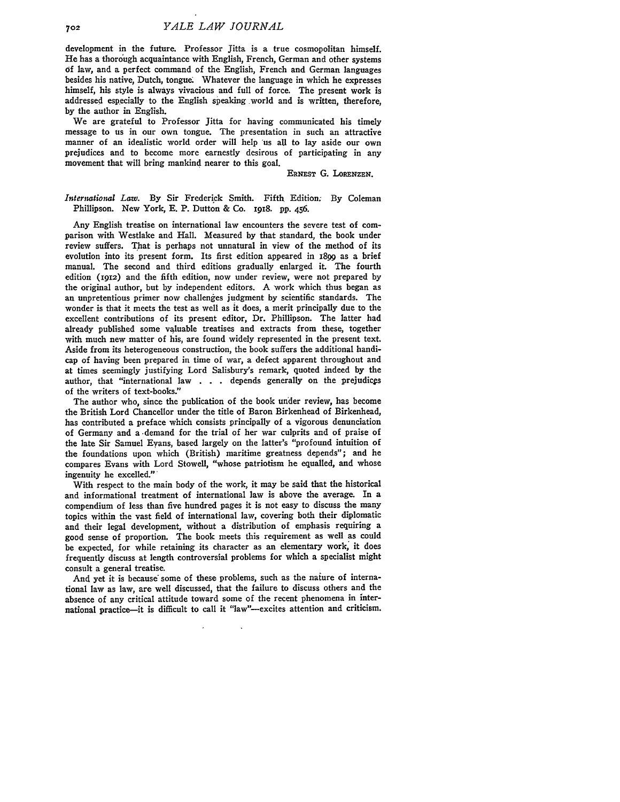development in the future. Professor Jitta is a true cosmopolitan himself. He has a thorough acquaintance with English, French, German and other systems of law, and a perfect command of the English, French and German languages besides his native, Dutch, tongue. Whatever the language in which he expresses himself, his style is always vivacious and full of force. The present work is addressed especially to the English speaking world and is written, therefore, **by** the author in English.

We are grateful to Professor Jitta for having communicated his timely message to us in our own tongue. The presentation in such an attractive manner of an idealistic world order will help 'us all to lay aside our own prejudices and to become more earnestly desirous of participating in any movement that will bring mankind nearer to this goal.

**ERNEST G. LORENZEN.**

## *International Law.* By Sir Frederick Smith. Fifth Edition. By Coleman Phillipson. New York, **E.** P. Dutton & Co. i918. **pp.** 456.

Any English treatise on international law encounters the severe test of comparison with Westlake and Hall. Measured **by** that standard, the book under review suffers. That is perhaps not unnatural in view of the method of its evolution into its present form. Its first edition appeared in 1899 as a brief manual. The second and third editions gradually enlarged it. The fourth edition (1912) and the fifth edition, now under review, were not prepared **by** the original author, but by independent editors. A work which thus began as an unpretentious primer now challenges judgment **by** scientific standards. The wonder is that it meets the test as well as it does, a merit principally due to the excellent contributions of its present editor, Dr. Phillipson. The latter had already published some valuable treatises and extracts from these, together with much new matter of his, are found widely represented in the present text. Aside from its heterogeneous construction, the book suffers the additional handicap of having been prepared in time of war, a defect apparent throughout and at times seemingly justifying Lord Salisbury's remark, quoted indeed **by** the author, that "international law **.** . **.** depends generally on the prejudices of the writers of text-books."

The author who, since the publication of the book under review, has become the British Lord Chancellor under the title of Baron Birkenhead of Birkenhead, has contributed a preface which consists principally of a vigorous denunciation of Germany and a -demand for the trial of her war culprits and of praise of the late Sir Samuel Evans, based largely on the latter's "profound intuition of the foundations upon which (British) maritime greatness depends"; and he compares Evans with Lord Stowell, "whose patriotism he equalled, and whose ingenuity he excelled."

With respect to the main body of the work, it may be said that the historical and informational treatment of international law is above the average. In a compendium of less than five hundred pages it is not easy to discuss the many topics within the vast field of international law, covering both their diplomatic and their legal development, without a distribution of emphasis requiring a good sense of proportion. The book meets this requirement as well as could be expected, for while retaining its character as an elementary work; it does frequently discuss at length controversial problems for which a specialist might consult a general treatise.

And yet it is because some of these problems, such as the nature of international law as law, are well discussed, that the failure to discuss others and the absence of any critical attitude toward some of the recent phenomena in international practice-it is difficult to call it "law'"-excites attention and criticism.

 $\overline{a}$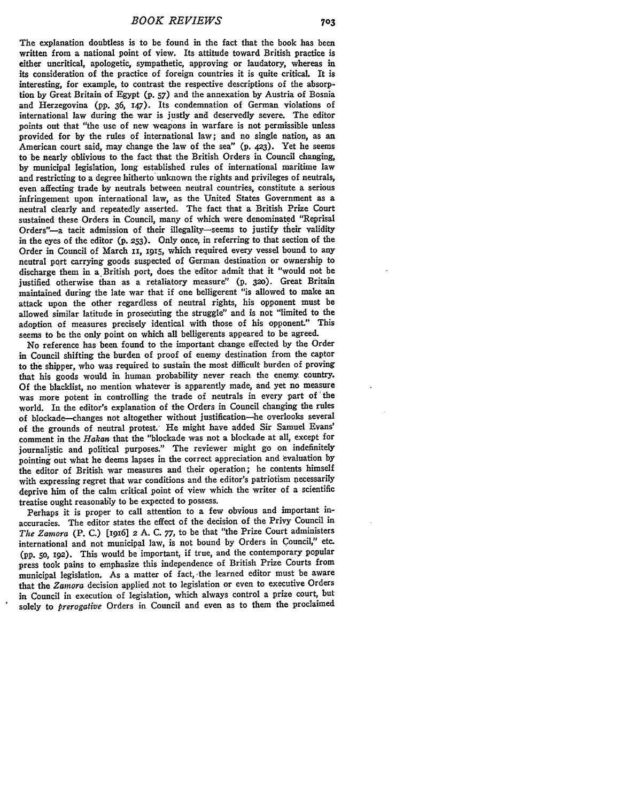The explanation doubtless is to be found in the fact that the book has been written from a national point of view. Its attitude toward British practice is either uncritical, apologetic, sympathetic, approving or laudatory, whereas in its consideration of the practice of foreign countries it is quite critical It is interesting, for example, to contrast the respective descriptions of the absorption **by** Great Britain of **Egypt** (p. *57)* and the annexation **by** Austria of Bosnia and Herzegovina (pp. **36, 147).** Its condemnation of German violations of international law during the war is justly and deservedly severe. The editor points out that "the use of new weapons in warfare is not permissible unless provided for **by** the rules of international law; and no single nation, as an American court said, may change the law of the sea" **(p. 423).** Yet he seems to be nearly oblivious to the fact that the British Orders in Council changing, **by** municipal legislation, long established rules of international maritime law and restricting to a degree hitherto unknown the rights and privileges of neutrals, even affecting trade **by** neutrals between neutral countries, constitute a serious infringement upon international law, as the United States Government as a neutral clearly and repeatedly asserted. The fact that a British Prize Court sustained these Orders in Council, many of which were denominated "Reprisal Orders"--a tacit admission of their illegality-seems to justify their validity in the eyes of the editor (p. **253).** Only once, in referring to that section of the Order in Council of March **1I, 1915,** which required every vessel bound to any neutral port carrying goods suspected of German destination or ownership to discharge them in a British port, does the editor admit that it "would not be justified otherwise than as a retaliatory measure" **(p. 32o).** Great Britain maintained during the late war that if one belligerent "is allowed to make an attack upon the other regardless of neutral rights, his opponent must be allowed similar latitude in prosecuting the struggle" and is not "limited to the adoption of measures precisely identical with those of his opponent." This seems to be the only point on which all belligerents appeared to be agreed.

No reference has been found to the important change effected **by** the Order in Council shifting the burden of proof of enemy destination from the captor to the shipper, who was required to sustain the most difficult burden of proving that his goods would in human probability never reach the enemy, country. **Of** the blacklist, no mention whatever is apparently made, and yet no measure was more potent in controlling the trade of neutrals in every part of 'the world. In the editor's explanation of the Orders in Council changing the rules of blockade--changes not altogether without justification-he overlooks several of the grounds of neutral protest.' He might have added Sir Samuel Evans' comment in the *Hakan* that the "blockade was not a blockade at all, except for journalistic and political purposes." The reviewer might go on indefinitely pointing out what he deems lapses in the correct appreciation and evaluation **by** the editor of British war measures and their operation; he contents himself with expressing regret that war conditions and the editor's patriotism necessarily deprive him of the calm critical point of view which the writer of a scientific treatise ought reasonably to be expected to possess.

Perhaps it is proper to call attention to a few obvious and important inaccuracies. The editor states the effect of the decision of the Privy Council in *The Zamora* (P. **C.)** [i916] **2 A. C. 77,** to be that "the Prize Court administers international and not municipal law, is not bound **by** Orders in Council," etc. (pp. **50, 192).** This would be important, if true, and the contemporary popular press took pains to emphasize this independence of British Prize Courts from municipal legislation. As a matter of fact, -the learned editor must be aware that the *Zamora* decision applied not to legislation or even to executive Orders in Council in execution of legislation, which always control a prize court, but solely to *prerogative* Orders in Council and even as to them the proclaimed